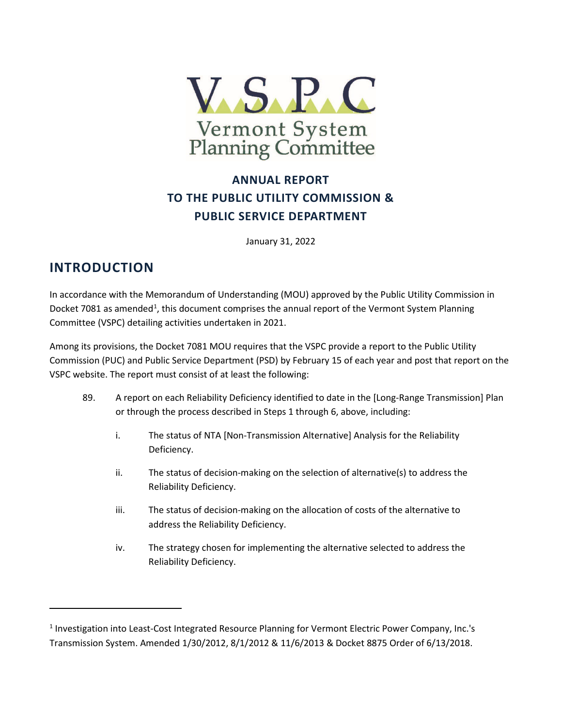

## **ANNUAL REPORT TO THE PUBLIC UTILITY COMMISSION & PUBLIC SERVICE DEPARTMENT**

January 31, 2022

## **INTRODUCTION**

l

In accordance with the Memorandum of Understanding (MOU) approved by the Public Utility Commission in Docket 708[1](#page-0-0) as amended<sup>1</sup>, this document comprises the annual report of the Vermont System Planning Committee (VSPC) detailing activities undertaken in 2021.

Among its provisions, the Docket 7081 MOU requires that the VSPC provide a report to the Public Utility Commission (PUC) and Public Service Department (PSD) by February 15 of each year and post that report on the VSPC website. The report must consist of at least the following:

- 89. A report on each Reliability Deficiency identified to date in the [Long-Range Transmission] Plan or through the process described in Steps 1 through 6, above, including:
	- i. The status of NTA [Non-Transmission Alternative] Analysis for the Reliability Deficiency.
	- ii. The status of decision-making on the selection of alternative(s) to address the Reliability Deficiency.
	- iii. The status of decision-making on the allocation of costs of the alternative to address the Reliability Deficiency.
	- iv. The strategy chosen for implementing the alternative selected to address the Reliability Deficiency.

<span id="page-0-0"></span><sup>1</sup> Investigation into Least-Cost Integrated Resource Planning for Vermont Electric Power Company, Inc.'s Transmission System. Amended 1/30/2012, 8/1/2012 & 11/6/2013 & Docket 8875 Order of 6/13/2018.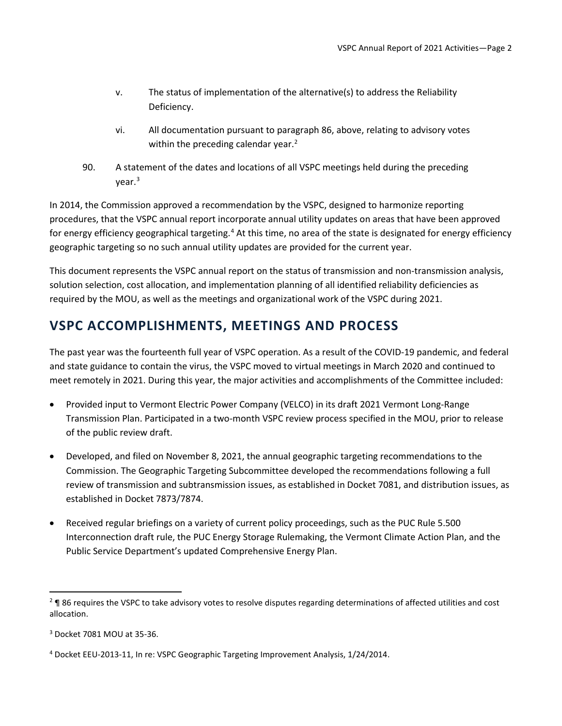- v. The status of implementation of the alternative(s) to address the Reliability Deficiency.
- vi. All documentation pursuant to paragraph 86, above, relating to advisory votes within the preceding calendar year.<sup>[2](#page-1-0)</sup>
- 90. A statement of the dates and locations of all VSPC meetings held during the preceding  $vear.<sup>3</sup>$  $vear.<sup>3</sup>$  $vear.<sup>3</sup>$

In 2014, the Commission approved a recommendation by the VSPC, designed to harmonize reporting procedures, that the VSPC annual report incorporate annual utility updates on areas that have been approved for energy efficiency geographical targeting.<sup>[4](#page-1-2)</sup> At this time, no area of the state is designated for energy efficiency geographic targeting so no such annual utility updates are provided for the current year.

This document represents the VSPC annual report on the status of transmission and non-transmission analysis, solution selection, cost allocation, and implementation planning of all identified reliability deficiencies as required by the MOU, as well as the meetings and organizational work of the VSPC during 2021.

## **VSPC ACCOMPLISHMENTS, MEETINGS AND PROCESS**

The past year was the fourteenth full year of VSPC operation. As a result of the COVID-19 pandemic, and federal and state guidance to contain the virus, the VSPC moved to virtual meetings in March 2020 and continued to meet remotely in 2021. During this year, the major activities and accomplishments of the Committee included:

- Provided input to Vermont Electric Power Company (VELCO) in its draft 2021 Vermont Long-Range Transmission Plan. Participated in a two-month VSPC review process specified in the MOU, prior to release of the public review draft.
- Developed, and filed on November 8, 2021, the annual geographic targeting recommendations to the Commission. The Geographic Targeting Subcommittee developed the recommendations following a full review of transmission and subtransmission issues, as established in Docket 7081, and distribution issues, as established in Docket 7873/7874.
- Received regular briefings on a variety of current policy proceedings, such as the PUC Rule 5.500 Interconnection draft rule, the PUC Energy Storage Rulemaking, the Vermont Climate Action Plan, and the Public Service Department's updated Comprehensive Energy Plan.

<span id="page-1-0"></span><sup>&</sup>lt;sup>2</sup> ¶ 86 requires the VSPC to take advisory votes to resolve disputes regarding determinations of affected utilities and cost allocation.

<span id="page-1-1"></span><sup>3</sup> Docket 7081 MOU at 35-36.

<span id="page-1-2"></span><sup>4</sup> Docket EEU-2013-11, In re: VSPC Geographic Targeting Improvement Analysis, 1/24/2014.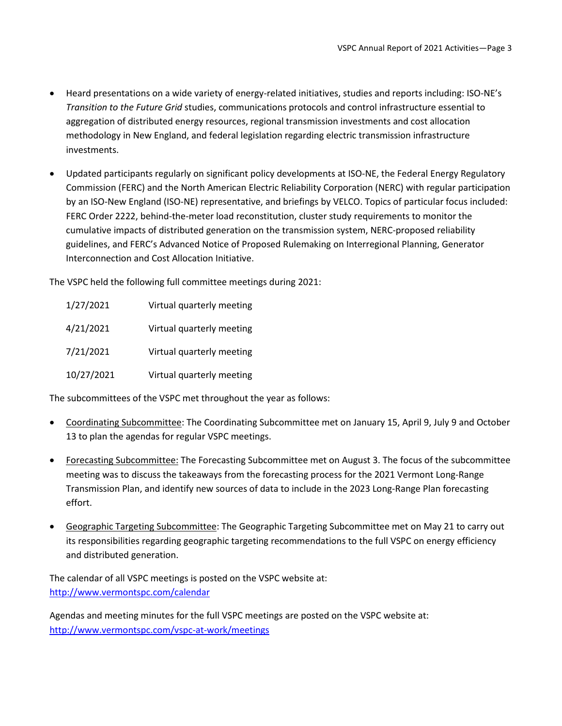- Heard presentations on a wide variety of energy-related initiatives, studies and reports including: ISO-NE's *Transition to the Future Grid* studies, communications protocols and control infrastructure essential to aggregation of distributed energy resources, regional transmission investments and cost allocation methodology in New England, and federal legislation regarding electric transmission infrastructure investments.
- Updated participants regularly on significant policy developments at ISO-NE, the Federal Energy Regulatory Commission (FERC) and the North American Electric Reliability Corporation (NERC) with regular participation by an ISO-New England (ISO-NE) representative, and briefings by VELCO. Topics of particular focus included: FERC Order 2222, behind-the-meter load reconstitution, cluster study requirements to monitor the cumulative impacts of distributed generation on the transmission system, NERC-proposed reliability guidelines, and FERC's Advanced Notice of Proposed Rulemaking on Interregional Planning, Generator Interconnection and Cost Allocation Initiative.

The VSPC held the following full committee meetings during 2021:

| 1/27/2021  | Virtual quarterly meeting |
|------------|---------------------------|
| 4/21/2021  | Virtual quarterly meeting |
| 7/21/2021  | Virtual quarterly meeting |
| 10/27/2021 | Virtual quarterly meeting |

The subcommittees of the VSPC met throughout the year as follows:

- Coordinating Subcommittee: The Coordinating Subcommittee met on January 15, April 9, July 9 and October 13 to plan the agendas for regular VSPC meetings.
- Forecasting Subcommittee: The Forecasting Subcommittee met on August 3. The focus of the subcommittee meeting was to discuss the takeaways from the forecasting process for the 2021 Vermont Long-Range Transmission Plan, and identify new sources of data to include in the 2023 Long-Range Plan forecasting effort.
- Geographic Targeting Subcommittee: The Geographic Targeting Subcommittee met on May 21 to carry out its responsibilities regarding geographic targeting recommendations to the full VSPC on energy efficiency and distributed generation.

The calendar of all VSPC meetings is posted on the VSPC website at: <http://www.vermontspc.com/calendar>

Agendas and meeting minutes for the full VSPC meetings are posted on the VSPC website at: <http://www.vermontspc.com/vspc-at-work/meetings>